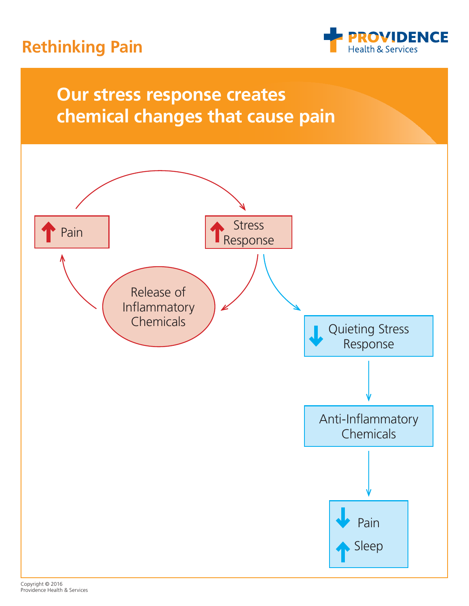## **Rethinking Pain**